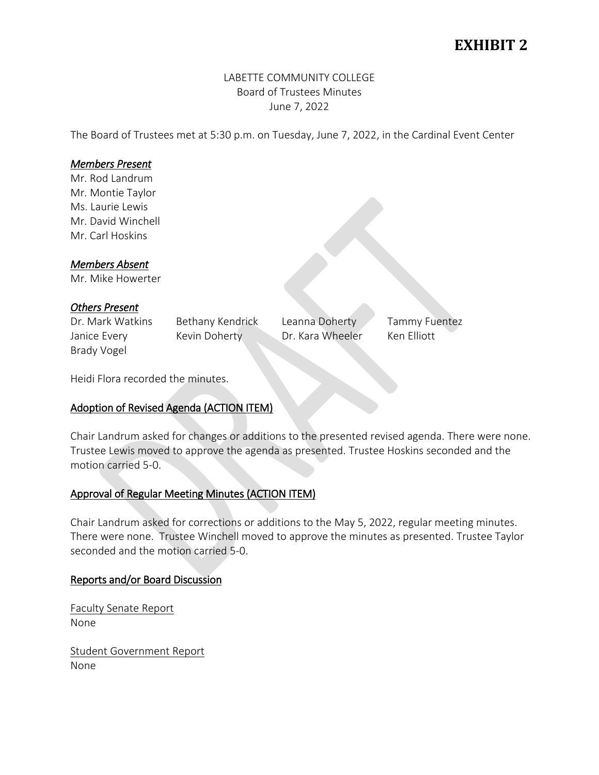# **EXHIBIT 2**

# LABETTE COMMUNITY COLLEGE Board of Trustees Minutes June 7, 2022

The Board of Trustees met at 5:30 p.m. on Tuesday, June 7, 2022, in the Cardinal Event Center

# *Members Present*

Mr. Rod Landrum Mr. Montie Taylor Ms. Laurie Lewis Mr. David Winchell Mr. Carl Hoskins

### *Members Absent*

Mr. Mike Howerter

## *Others Present*

Janice Every Kevin Doherty Dr. Kara Wheeler Ken Elliott Brady Vogel

Dr. Mark Watkins Bethany Kendrick Leanna Doherty Tammy Fuentez

Heidi Flora recorded the minutes.

# Adoption of Revised Agenda (ACTION ITEM)

Chair Landrum asked for changes or additions to the presented revised agenda. There were none. Trustee Lewis moved to approve the agenda as presented. Trustee Hoskins seconded and the motion carried 5-0.

### Approval of Regular Meeting Minutes (ACTION ITEM)

Chair Landrum asked for corrections or additions to the May 5, 2022, regular meeting minutes. There were none. Trustee Winchell moved to approve the minutes as presented. Trustee Taylor seconded and the motion carried 5-0.

### Reports and/or Board Discussion

Faculty Senate Report None

Student Government Report None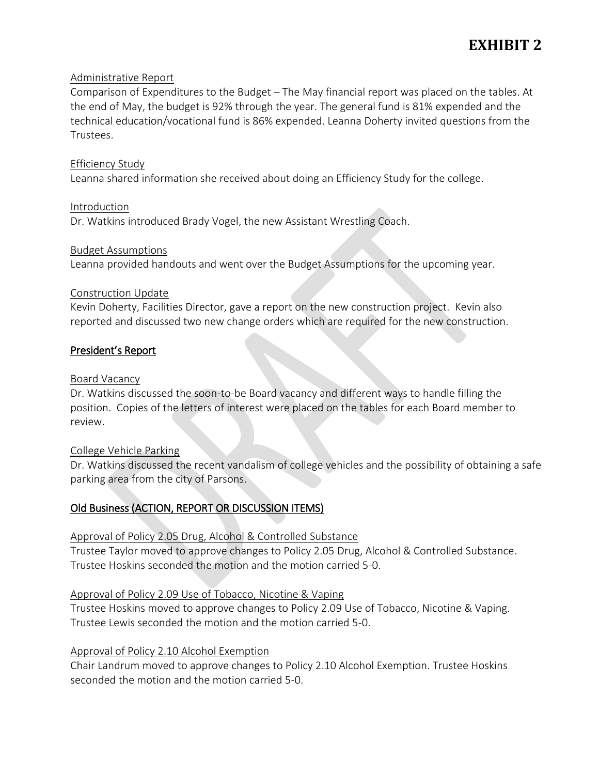# **EXHIBIT 2**

### Administrative Report

Comparison of Expenditures to the Budget – The May financial report was placed on the tables. At the end of May, the budget is 92% through the year. The general fund is 81% expended and the technical education/vocational fund is 86% expended. Leanna Doherty invited questions from the Trustees.

#### Efficiency Study

Leanna shared information she received about doing an Efficiency Study for the college.

Introduction Dr. Watkins introduced Brady Vogel, the new Assistant Wrestling Coach.

#### Budget Assumptions

Leanna provided handouts and went over the Budget Assumptions for the upcoming year.

#### Construction Update

Kevin Doherty, Facilities Director, gave a report on the new construction project. Kevin also reported and discussed two new change orders which are required for the new construction.

### President's Report

### Board Vacancy

Dr. Watkins discussed the soon-to-be Board vacancy and different ways to handle filling the position. Copies of the letters of interest were placed on the tables for each Board member to review.

#### College Vehicle Parking

Dr. Watkins discussed the recent vandalism of college vehicles and the possibility of obtaining a safe parking area from the city of Parsons.

### Old Business (ACTION, REPORT OR DISCUSSION ITEMS)

### Approval of Policy 2.05 Drug, Alcohol & Controlled Substance

Trustee Taylor moved to approve changes to Policy 2.05 Drug, Alcohol & Controlled Substance. Trustee Hoskins seconded the motion and the motion carried 5-0.

### Approval of Policy 2.09 Use of Tobacco, Nicotine & Vaping

Trustee Hoskins moved to approve changes to Policy 2.09 Use of Tobacco, Nicotine & Vaping. Trustee Lewis seconded the motion and the motion carried 5-0.

### Approval of Policy 2.10 Alcohol Exemption

Chair Landrum moved to approve changes to Policy 2.10 Alcohol Exemption. Trustee Hoskins seconded the motion and the motion carried 5-0.